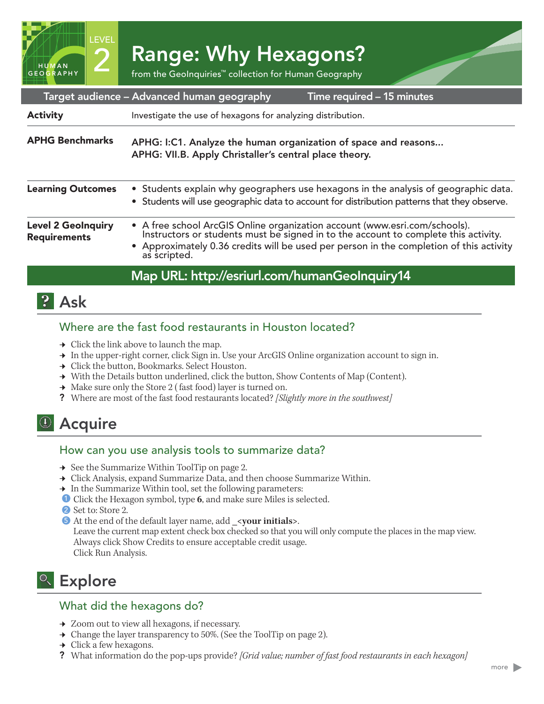2 Range: Why Hexagons?<br>1992 From the GeoInquiries™ collection for Human Geography

|                                                  | Target audience – Advanced human geography<br>Time required - 15 minutes                                                                                                                                                                                                     |
|--------------------------------------------------|------------------------------------------------------------------------------------------------------------------------------------------------------------------------------------------------------------------------------------------------------------------------------|
| <b>Activity</b>                                  | Investigate the use of hexagons for analyzing distribution.                                                                                                                                                                                                                  |
| <b>APHG Benchmarks</b>                           | APHG: I:C1. Analyze the human organization of space and reasons<br>APHG: VII.B. Apply Christaller's central place theory.                                                                                                                                                    |
| <b>Learning Outcomes</b>                         | • Students explain why geographers use hexagons in the analysis of geographic data.<br>• Students will use geographic data to account for distribution patterns that they observe.                                                                                           |
| <b>Level 2 GeoInquiry</b><br><b>Requirements</b> | • A free school ArcGIS Online organization account (www.esri.com/schools).<br>Instructors or students must be signed in to the account to complete this activity.<br>• Approximately 0.36 credits will be used per person in the completion of this activity<br>as scripted. |
|                                                  | Map URL: http://esriurl.com/humanGeoInquiry14                                                                                                                                                                                                                                |

## **2** Ask

HUMAN GEOGRAPHY LEVEL

#### Where are the fast food restaurants in Houston located?

- $\rightarrow$  Click the link above to launch the map.
- → In the upper-right corner, click Sign in. Use your ArcGIS Online organization account to sign in.
- **→** Click the button, Bookmarks. Select Houston.
- → With the Details button underlined, click the button, Show Contents of Map (Content).
- $\rightarrow$  Make sure only the Store 2 (fast food) layer is turned on.
- ? Where are most of the fast food restaurants located? *[Slightly more in the southwest]*

## <sup>(1)</sup> Acquire

#### How can you use analysis tools to summarize data?

- **→** See the Summarize Within ToolTip on page 2.
- → Click Analysis, expand Summarize Data, and then choose Summarize Within.
- → In the Summarize Within tool, set the following parameters:
- **D** Click the Hexagon symbol, type 6, and make sure Miles is selected.
- 2 Set to: Store 2.
- **5** At the end of the default layer name, add \_<your initials>.

Leave the current map extent check box checked so that you will only compute the places in the map view. Always click Show Credits to ensure acceptable credit usage. Click Run Analysis.

# <sup>Q</sup> Explore

#### What did the hexagons do?

- **→** Zoom out to view all hexagons, if necessary.
- $\rightarrow$  Change the layer transparency to 50%. (See the ToolTip on page 2).
- $\rightarrow$  Click a few hexagons.
- ? What information do the pop-ups provide? *[Grid value; number of fast food restaurants in each hexagon]*